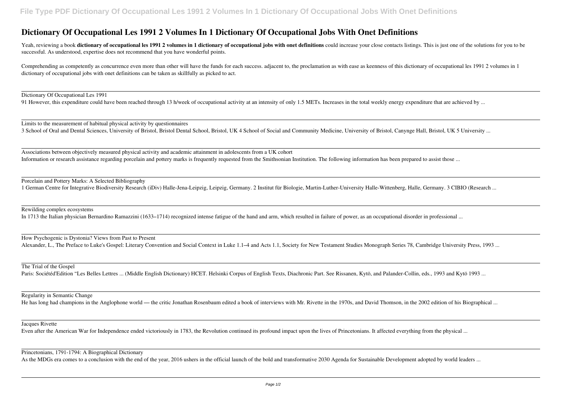## **Dictionary Of Occupational Les 1991 2 Volumes In 1 Dictionary Of Occupational Jobs With Onet Definitions**

Yeah, reviewing a book dictionary of occupational les 1991 2 volumes in 1 dictionary of occupational jobs with onet definitions could increase your close contacts listings. This is just one of the solutions for you to be successful. As understood, expertise does not recommend that you have wonderful points.

Associations between objectively measured physical activity and academic attainment in adolescents from a UK cohort Information or research assistance regarding porcelain and pottery marks is frequently requested from the Smithsonian Institution. The following information has been prepared to assist those ...

Comprehending as competently as concurrence even more than other will have the funds for each success. adjacent to, the proclamation as with ease as keenness of this dictionary of occupational les 1991 2 volumes in 1 dictionary of occupational jobs with onet definitions can be taken as skillfully as picked to act.

Dictionary Of Occupational Les 1991

91 However, this expenditure could have been reached through 13 h/week of occupational activity at an intensity of only 1.5 METs. Increases in the total weekly energy expenditure that are achieved by ...

The Trial of the Gospel Paris: Sociétéd'Edition "Les Belles Lettres ... (Middle English Dictionary) HCET. Helsinki Corpus of English Texts, Diachronic Part. See Rissanen, Kytö, and Palander-Collin, eds., 1993 and Kytö 1993 ...

Limits to the measurement of habitual physical activity by questionnaires 3 School of Oral and Dental Sciences, University of Bristol, Bristol Dental School, Bristol, UK 4 School of Social and Community Medicine, University of Bristol, Canynge Hall, Bristol, UK 5 University ...

Porcelain and Pottery Marks: A Selected Bibliography 1 German Centre for Integrative Biodiversity Research (iDiv) Halle-Jena-Leipzig, Leipzig, Germany. 2 Institut für Biologie, Martin-Luther-University Halle-Wittenberg, Halle, Germany. 3 CIBIO (Research ...

Rewilding complex ecosystems

In 1713 the Italian physician Bernardino Ramazzini (1633–1714) recognized intense fatigue of the hand and arm, which resulted in failure of power, as an occupational disorder in professional ...

How Psychogenic is Dystonia? Views from Past to Present Alexander, L., The Preface to Luke's Gospel: Literary Convention and Social Context in Luke 1.1–4 and Acts 1.1, Society for New Testament Studies Monograph Series 78, Cambridge University Press, 1993 ...

Regularity in Semantic Change

He has long had champions in the Anglophone world — the critic Jonathan Rosenbaum edited a book of interviews with Mr. Rivette in the 1970s, and David Thomson, in the 2002 edition of his Biographical ...

Jacques Rivette

Even after the American War for Independence ended victoriously in 1783, the Revolution continued its profound impact upon the lives of Princetonians. It affected everything from the physical ...

Princetonians, 1791-1794: A Biographical Dictionary

As the MDGs era comes to a conclusion with the end of the year, 2016 ushers in the official launch of the bold and transformative 2030 Agenda for Sustainable Development adopted by world leaders ...